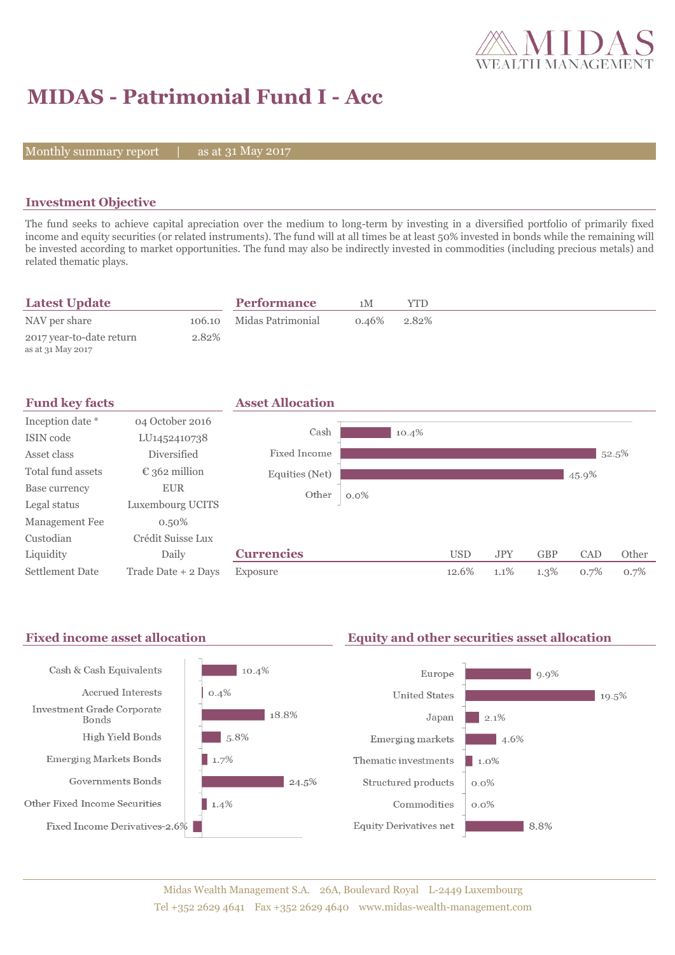

# **MIDAS - Patrimonial Fund I - Acc**

Monthly summary report  $\|$ 

as at 31 May 2017

### **Investment Objective**

The fund seeks to achieve capital apreciation over the medium to long-term by investing in a diversified portfolio of primarily fixed income and equity securities (or related instruments). The fund will at all times be at least 50% invested in bonds while the remaining will be invested according to market opportunities. The fund may also be indirectly invested in commodities (including precious metals) and related thematic plays.

| <b>Latest Update</b>                          |       | <b>Performance</b>       | 1 M   | YTD   |
|-----------------------------------------------|-------|--------------------------|-------|-------|
| NAV per share                                 |       | 106.10 Midas Patrimonial | 0.46% | 2.82% |
| 2017 year-to-date return<br>as at 31 May 2017 | 2.82% |                          |       |       |

| <b>Fund key facts</b>  |                        | <b>Asset Allocation</b> |         |            |            |            |       |       |
|------------------------|------------------------|-------------------------|---------|------------|------------|------------|-------|-------|
| Inception date *       | 04 October 2016        |                         |         |            |            |            |       |       |
| ISIN code              | LU1452410738           | Cash                    | 10.4%   |            |            |            |       |       |
| Asset class            | Diversified            | Fixed Income            |         |            |            |            |       | 52.5% |
| Total fund assets      | $\epsilon$ 362 million | Equities (Net)          |         |            |            |            | 45.9% |       |
| Base currency          | <b>EUR</b>             | Other                   | $0.0\%$ |            |            |            |       |       |
| Legal status           | Luxembourg UCITS       |                         |         |            |            |            |       |       |
| Management Fee         | $0.50\%$               |                         |         |            |            |            |       |       |
| Custodian              | Crédit Suisse Lux      |                         |         |            |            |            |       |       |
| Liquidity              | Daily                  | <b>Currencies</b>       |         | <b>USD</b> | <b>JPY</b> | <b>GBP</b> | CAD   | Other |
| <b>Settlement Date</b> | Trade Date + 2 Days    | Exposure                |         | 12.6%      | 1.1%       | $1.3\%$    | 0.7%  | 0.7%  |

## Fixed income asset allocation **Equity and other securities asset allocation**

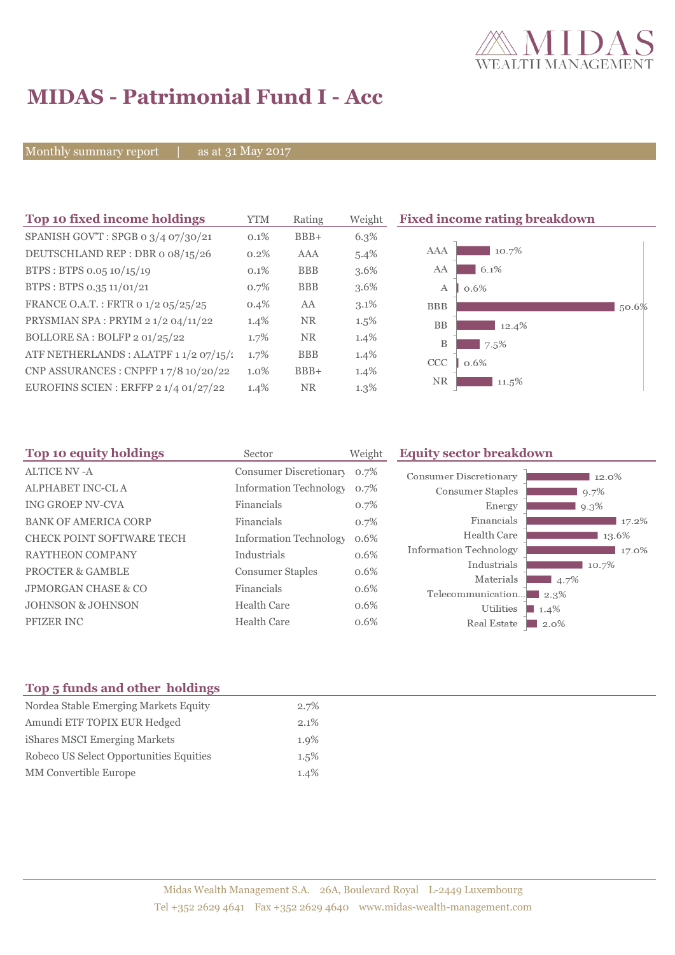

## **MIDAS - Patrimonial Fund I - Acc**

Monthly summary report | as at 31 May 2017

| Top 10 fixed income holdings           | <b>YTM</b> | Rating     | Weight  | <b>Fixed income rating breakdown</b> |       |
|----------------------------------------|------------|------------|---------|--------------------------------------|-------|
| SPANISH GOV'T: SPGB 0 3/4 07/30/21     | $0.1\%$    | $BBB+$     | $6.3\%$ |                                      |       |
| DEUTSCHLAND REP: DBR o 08/15/26        | 0.2%       | <b>AAA</b> | $5.4\%$ | 10.7%<br>AAA                         |       |
| BTPS: BTPS 0.05 10/15/19               | $0.1\%$    | <b>BBB</b> | $3.6\%$ | 6.1%<br>AA                           |       |
| BTPS: BTPS 0.35 11/01/21               | 0.7%       | <b>BBB</b> | $3.6\%$ | A<br>0.6%                            |       |
| FRANCE O.A.T.: FRTR 0 1/2 05/25/25     | $0.4\%$    | AA         | $3.1\%$ | <b>BBB</b>                           | 50.6% |
| PRYSMIAN SPA: PRYIM 2 1/2 04/11/22     | $1.4\%$    | <b>NR</b>  | $1.5\%$ | <b>BB</b><br>12.4%                   |       |
| BOLLORE SA: BOLFP 2 01/25/22           | 1.7%       | <b>NR</b>  | $1.4\%$ | B<br>7.5%                            |       |
| ATF NETHERLANDS : ALATPF 1 1/2 07/15/: | 1.7%       | <b>BBB</b> | $1.4\%$ | <b>CCC</b><br>0.6%                   |       |
| CNP ASSURANCES : CNPFP 17/8 10/20/22   | $1.0\%$    | $BBB+$     | $1.4\%$ |                                      |       |
| EUROFINS SCIEN : ERFFP $21/401/27/22$  | 1.4%       | <b>NR</b>  | $1.3\%$ | NR<br>$11.5\%$                       |       |

| Top 10 equity holdings           | Sector                        | Weight | <b>Equity sector breakdown</b> |                        |  |
|----------------------------------|-------------------------------|--------|--------------------------------|------------------------|--|
| <b>ALTICE NV-A</b>               | Consumer Discretionary        | 0.7%   | <b>Consumer Discretionary</b>  | 12.0%                  |  |
| ALPHABET INC-CL A                | <b>Information Technology</b> | 0.7%   | Consumer Staples               | 9.7%                   |  |
| <b>ING GROEP NV-CVA</b>          | Financials                    | 0.7%   | Energy                         | 9.3%                   |  |
| <b>BANK OF AMERICA CORP</b>      | Financials                    | 0.7%   | Financials                     | 17.2%                  |  |
| <b>CHECK POINT SOFTWARE TECH</b> | <b>Information Technology</b> | 0.6%   | Health Care                    | 13.6%                  |  |
| <b>RAYTHEON COMPANY</b>          | Industrials                   | 0.6%   | Information Technology         | 17.0%                  |  |
| <b>PROCTER &amp; GAMBLE</b>      | <b>Consumer Staples</b>       | 0.6%   | Industrials                    | 10.7%                  |  |
| <b>JPMORGAN CHASE &amp; CO</b>   | Financials                    | 0.6%   | Materials                      | 4.7%                   |  |
| <b>JOHNSON &amp; JOHNSON</b>     | <b>Health Care</b>            | 0.6%   | Telecommunication<br>Utilities | $\Box$ 2.3%<br>$1.4\%$ |  |
| <b>PFIZER INC</b>                | Health Care                   | 0.6%   | Real Estate                    | $\Box$ 2.0%            |  |

### **Top 5 funds and other holdings**

| Nordea Stable Emerging Markets Equity   | 2.7%    |
|-----------------------------------------|---------|
| Amundi ETF TOPIX EUR Hedged             | $2.1\%$ |
| iShares MSCI Emerging Markets           | $1.9\%$ |
| Robeco US Select Opportunities Equities | $1.5\%$ |
| <b>MM</b> Convertible Europe            | 1.4%    |